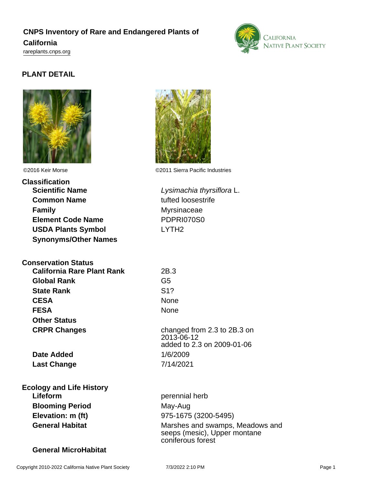# **CNPS Inventory of Rare and Endangered Plants of California**

<rareplants.cnps.org>

### **PLANT DETAIL**



# **Classification Scientific Name Lysimachia thyrsiflora L. Common Name** tufted loosestrife **Family** Myrsinaceae **Element Code Name** PDPRI070S0 **USDA Plants Symbol** LYTH2 **Synonyms/Other Names**

## **Conservation Status**

| <b>California Rare Plant Rank</b> | 2B.3                   |
|-----------------------------------|------------------------|
| <b>Global Rank</b>                | G <sub>5</sub>         |
| <b>State Rank</b>                 | S <sub>1</sub> ?       |
| <b>CESA</b>                       | None                   |
| <b>FESA</b>                       | None                   |
| <b>Other Status</b>               |                        |
| <b>CRPR Changes</b>               | chang<br>$\sim$ $\sim$ |
|                                   |                        |

**Date Added** 1/6/2009 **Last Change** 7/14/2021

**Ecology and Life History Lifeform** perennial herb **Blooming Period** May-Aug **Elevation: m (ft)** 975-1675 (3200-5495)

### **General MicroHabitat**



©2016 Keir Morse ©2011 Sierra Pacific Industries

**CESA** None changed from 2.3 to 2B.3 on 2013-06-12 added to 2.3 on 2009-01-06

General Habitat **General Habitat** Marshes and swamps, Meadows and seeps (mesic), Upper montane coniferous forest

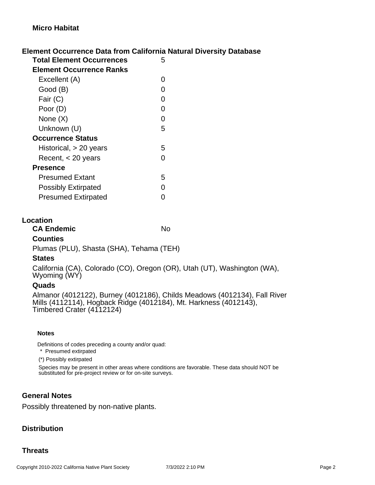### **Element Occurrence Data from California Natural Diversity Database**

| Total Element Occurrences       | 5 |
|---------------------------------|---|
| <b>Element Occurrence Ranks</b> |   |
| Excellent (A)                   | O |
| Good (B)                        | ი |
| Fair (C)                        | O |
| Poor (D)                        | O |
| None $(X)$                      | O |
| Unknown (U)                     | 5 |
| <b>Occurrence Status</b>        |   |
| Historical, $> 20$ years        | 5 |
| Recent, $<$ 20 years            |   |
| Presence                        |   |
| Presumed Extant                 | 5 |
| <b>Possibly Extirpated</b>      |   |
| <b>Presumed Extirpated</b>      |   |

#### **Location**

**CA Endemic** No

#### **Counties**

Plumas (PLU), Shasta (SHA), Tehama (TEH)

#### **States**

California (CA), Colorado (CO), Oregon (OR), Utah (UT), Washington (WA), Wyoming (WY)

#### **Quads**

Almanor (4012122), Burney (4012186), Childs Meadows (4012134), Fall River Mills (4112114), Hogback Ridge (4012184), Mt. Harkness (4012143), Timbered Crater (4112124)

#### **Notes**

Definitions of codes preceding a county and/or quad:

\* Presumed extirpated

(\*) Possibly extirpated

Species may be present in other areas where conditions are favorable. These data should NOT be substituted for pre-project review or for on-site surveys.

#### **General Notes**

Possibly threatened by non-native plants.

#### **Distribution**

#### **Threats**